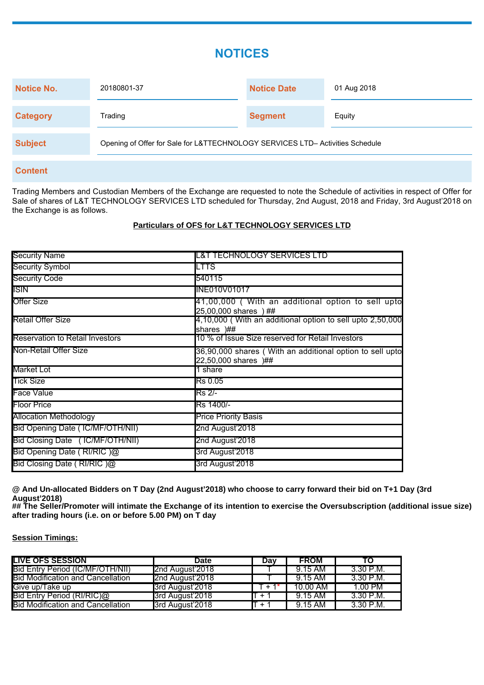# **NOTICES**

| Notice No.      | 20180801-37                                                                   | <b>Notice Date</b> | 01 Aug 2018 |  |
|-----------------|-------------------------------------------------------------------------------|--------------------|-------------|--|
| <b>Category</b> | Trading                                                                       | <b>Segment</b>     | Equity      |  |
| <b>Subject</b>  | Opening of Offer for Sale for L&TTECHNOLOGY SERVICES LTD- Activities Schedule |                    |             |  |

## **Content**

Trading Members and Custodian Members of the Exchange are requested to note the Schedule of activities in respect of Offer for Sale of shares of L&T TECHNOLOGY SERVICES LTD scheduled for Thursday, 2nd August, 2018 and Friday, 3rd August'2018 on the Exchange is as follows.

## **Particulars of OFS for L&T TECHNOLOGY SERVICES LTD**

| <b>Security Name</b>                   | IL&T TECHNOLOGY SERVICES LTD                                                     |
|----------------------------------------|----------------------------------------------------------------------------------|
| <b>Security Symbol</b>                 | ILTTS <sup>.</sup>                                                               |
| <b>Security Code</b>                   | <b>5</b> 40115                                                                   |
| <b>ISIN</b>                            | <b>INE010V01017</b>                                                              |
| <b>Offer Size</b>                      | 41,00,000 ( With an additional option to sell upto<br>25,00,000 shares ) ##      |
| Retail Offer Size                      | 4,10,000 (With an additional option to sell upto 2,50,000<br>shares )##          |
| <b>Reservation to Retail Investors</b> | 10 % of Issue Size reserved for Retail Investors                                 |
| Non-Retail Offer Size                  | 36,90,000 shares (With an additional option to sell upto<br>22,50,000 shares )## |
| Market Lot                             | 1 share                                                                          |
| <b>Tick Size</b>                       | Rs 0.05                                                                          |
| Face Value                             | <b>IRs</b> 2/-                                                                   |
| <b>Floor Price</b>                     | Rs 1400/-                                                                        |
| Allocation Methodology                 | <b>Price Priority Basis</b>                                                      |
| Bid Opening Date (IC/MF/OTH/NII)       | 2nd August'2018                                                                  |
| Bid Closing Date (IC/MF/OTH/NII)       | 2nd August'2018                                                                  |
| Bid Opening Date (RI/RIC)@             | 3rd August'2018                                                                  |
| Bid Closing Date (RI/RIC)@             | 3rd August'2018                                                                  |

**@ And Un-allocated Bidders on T Day (2nd August'2018) who choose to carry forward their bid on T+1 Day (3rd August'2018)**

**## The Seller/Promoter will intimate the Exchange of its intention to exercise the Oversubscription (additional issue size) after trading hours (i.e. on or before 5.00 PM) on T day**

## **Session Timings:**

| <b>LIVE OFS SESSION</b>                  | <b>Date</b>     | Dav               | <b>FROM</b>         | TO           |
|------------------------------------------|-----------------|-------------------|---------------------|--------------|
| Bid Entry Period (IC/MF/OTH/NII)         | 2nd August'2018 |                   | 39.15 AM            | ⊺3.30 P.M.   |
| <b>Bid Modification and Cancellation</b> | 2nd August'2018 |                   | ⊺9.15 AM⊺           | ¯3.30 P.M.   |
| Give up/Take up                          | 3rd August 2018 | $+1$ <sup>*</sup> | $10.00$ AM $^\circ$ | $1.00$ PM    |
| Bid Entry Period (RI/RIC)@               | 3rd August'2018 | $+ + +$           | ¯9.15 AM⊺           | ¯3.30 P.M.   |
| <b>Bid Modification and Cancellation</b> | 3rd August'2018 | $1 + 1$           | $[9.15 \text{ AM}]$ | $-3.30$ P.M. |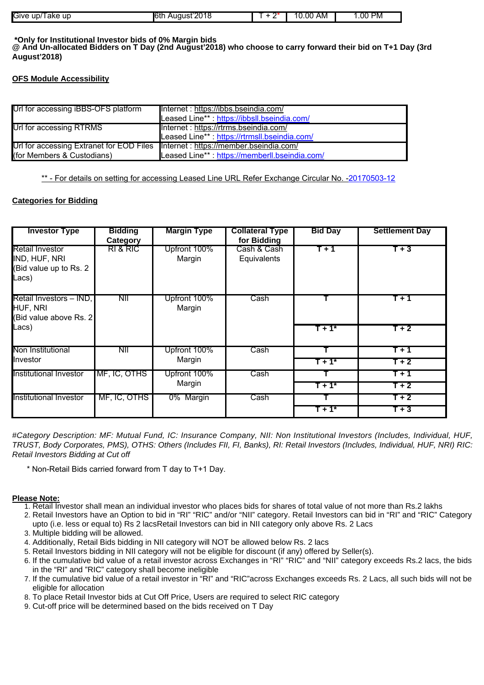| Give<br>ur<br>UD/<br>l ake | .<br>JSĽ<br>ulC.<br>. | .00<br>AM | PM⊺<br>.00 |
|----------------------------|-----------------------|-----------|------------|

#### **\*Only for Institutional Investor bids of 0% Margin bids @ And Un-allocated Bidders on T Day (2nd August'2018) who choose to carry forward their bid on T+1 Day (3rd August'2018)**

## **OFS Module Accessibility**

| Url for accessing iBBS-OFS platform                                              | Internet: https://ibbs.bseindia.com/         |
|----------------------------------------------------------------------------------|----------------------------------------------|
|                                                                                  | Leased Line**: https://ibbsll.bseindia.com/  |
| Url for accessing RTRMS                                                          | Internet : https://rtrms.bseindia.com/       |
|                                                                                  | Leased Line**: https://rtrmsll.bseindia.com/ |
| Url for accessing Extranet for EOD Files Internet : https://member.bseindia.com/ |                                              |
| (for Members & Custodians)                                                       | Leased Line** https://memberll.bseindia.com/ |

\*\* - For details on setting for accessing Leased Line URL Refer Exchange Circular No. -20170503-12

## **Categories for Bidding**

| <b>Investor Type</b>                                                        | <b>Bidding</b><br>Category | <b>Margin Type</b>     | <b>Collateral Type</b><br>for Bidding | <b>Bid Day</b> | <b>Settlement Day</b> |
|-----------------------------------------------------------------------------|----------------------------|------------------------|---------------------------------------|----------------|-----------------------|
| <b>Retail Investor</b><br>IND, HUF, NRI<br>(Bid value up to Rs. 2)<br>Lacs) | RI & RIC                   | Upfront 100%<br>Margin | Cash & Cash<br>Equivalents            | $T + 1$        | $T+3$                 |
| Retail Investors - IND,<br>HUF, NRI<br>(Bid value above Rs. 2               | NII                        | Upfront 100%<br>Margin | Cash                                  |                | $T + 1$               |
| Lacs)                                                                       |                            |                        |                                       | $T + 1$        | $T+2$                 |
| Non Institutional                                                           | <b>NII</b>                 | Upfront 100%           | Cash                                  |                | T + 1                 |
| <b>Ilnvestor</b>                                                            |                            | Margin                 |                                       | $T+1^*$        | $T + 2$               |
| Institutional Investor                                                      | MF, IC, OTHS               | Upfront 100%           | Cash <sup>-</sup>                     |                | T + 1                 |
|                                                                             |                            | Margin                 |                                       | T + 1*         | $T+2$                 |
| Institutional Investor                                                      | MF, IC, OTHS               | 0% Margin              | Cash <sup>-</sup>                     |                | $T+2$                 |
|                                                                             |                            |                        |                                       | $T + 1$        | $T+3$                 |

#Category Description: MF: Mutual Fund, IC: Insurance Company, NII: Non Institutional Investors (Includes, Individual, HUF, TRUST, Body Corporates, PMS), OTHS: Others (Includes FII, FI, Banks), RI: Retail Investors (Includes, Individual, HUF, NRI) RIC: Retail Investors Bidding at Cut off

\* Non-Retail Bids carried forward from T day to T+1 Day.

## **Please Note:**

- 1. Retail Investor shall mean an individual investor who places bids for shares of total value of not more than Rs.2 lakhs
- 2. Retail Investors have an Option to bid in "RI" "RIC" and/or "NII" category. Retail Investors can bid in "RI" and "RIC" Category upto (i.e. less or equal to) Rs 2 lacsRetail Investors can bid in NII category only above Rs. 2 Lacs
- 3. Multiple bidding will be allowed.
- 4. Additionally, Retail Bids bidding in NII category will NOT be allowed below Rs. 2 lacs
- 5. Retail Investors bidding in NII category will not be eligible for discount (if any) offered by Seller(s).
- 6. If the cumulative bid value of a retail investor across Exchanges in "RI" "RIC" and "NII" category exceeds Rs.2 lacs, the bids in the "RI" and "RIC" category shall become ineligible
- If the cumulative bid value of a retail investor in "RI" and "RIC"across Exchanges exceeds Rs. 2 Lacs, all such bids will not be 7. eligible for allocation
- 8. To place Retail Investor bids at Cut Off Price, Users are required to select RIC category
- 9. Cut-off price will be determined based on the bids received on T Day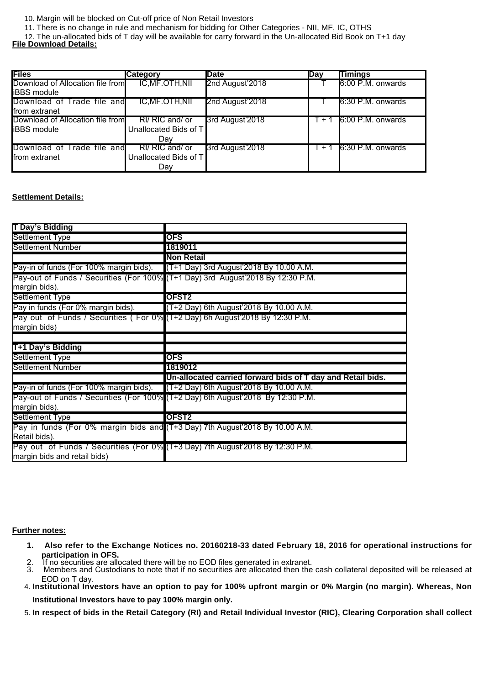- 10. Margin will be blocked on Cut-off price of Non Retail Investors
- 11. There is no change in rule and mechanism for bidding for Other Categories NII, MF, IC, OTHS

12. The un-allocated bids of T day will be available for carry forward in the Un-allocated Bid Book on T+1 day **File Download Details:**

| <b>Files</b>                     | <b>Category</b>        | <b>IDate</b>    | <b>Day</b> | <b>Timings</b>            |
|----------------------------------|------------------------|-----------------|------------|---------------------------|
| Download of Allocation file from | <b>IC, MF.OTH, NII</b> | 2nd August'2018 |            | 6:00 P.M. onwards         |
| <b>liBBS</b> module              |                        |                 |            |                           |
| Download of Trade file and       | <b>IC, MF.OTH, NII</b> | 2nd August'2018 |            | 6:30 P.M. onwards         |
| <b>Ifrom extranet</b>            |                        |                 |            |                           |
| Download of Allocation file from | RI/ RIC and/ or        | 3rd August'2018 | $+1$       | 6:00 P.M. onwards         |
| <b>IBBS</b> module               | Unallocated Bids of T  |                 |            |                           |
|                                  | Dav                    |                 |            |                           |
| Download of Trade file and       | RI/ RIC and/ or        | 3rd August'2018 |            | $T + 1$ 6:30 P.M. onwards |
| <b>Ifrom extranet</b>            | Unallocated Bids of T  |                 |            |                           |
|                                  | Day                    |                 |            |                           |

#### **Settlement Details:**

| T Day's Bidding                                                                                               |                                                                                 |
|---------------------------------------------------------------------------------------------------------------|---------------------------------------------------------------------------------|
| Settlement Type                                                                                               | <b>OFS</b>                                                                      |
| Settlement Number                                                                                             | 1819011                                                                         |
|                                                                                                               | <b>Non Retail</b>                                                               |
| Pay-in of funds (For 100% margin bids). (T+1 Day) 3rd August'2018 By 10.00 A.M.                               |                                                                                 |
|                                                                                                               | Pay-out of Funds / Securities (For 100% (T+1 Day) 3rd August'2018 By 12:30 P.M. |
| margin bids).                                                                                                 |                                                                                 |
| Settlement Type                                                                                               | OFST2                                                                           |
| Pay in funds (For 0% margin bids).                                                                            | $(T+2 \text{ Day})$ 6th August'2018 By 10.00 A.M.                               |
| Pay out of Funds / Securities (For 0% (T+2 Day) 6h August 2018 By 12:30 P.M.                                  |                                                                                 |
| margin bids)                                                                                                  |                                                                                 |
|                                                                                                               |                                                                                 |
|                                                                                                               |                                                                                 |
| T+1 Day's Bidding                                                                                             |                                                                                 |
| Settlement Type                                                                                               | <b>OFS</b>                                                                      |
| Settlement Number                                                                                             | 1819012                                                                         |
|                                                                                                               | Un-allocated carried forward bids of T day and Retail bids.                     |
| Pay-in of funds (For 100% margin bids). (T+2 Day) 6th August 2018 By 10.00 A.M.                               |                                                                                 |
| Pay-out of Funds / Securities (For 100% (T+2 Day) 6th August'2018 By 12:30 P.M.                               |                                                                                 |
| margin bids).                                                                                                 |                                                                                 |
| Settlement Type                                                                                               | OFST2                                                                           |
| Pay in funds (For 0% margin bids and (T+3 Day) 7th August 2018 By 10.00 A.M.                                  |                                                                                 |
| Retail bids).                                                                                                 |                                                                                 |
| Pay out of Funds / Securities (For 0% (T+3 Day) 7th August'2018 By 12:30 P.M.<br>margin bids and retail bids) |                                                                                 |

#### **Further notes:**

- **1. Also refer to the Exchange Notices no. 20160218-33 dated February 18, 2016 for operational instructions for participation in OFS.**
- 2. If no securities are allocated there will be no EOD files generated in extranet.<br>3. Members and Custodians to note that if no securities are allocated then the
- Members and Custodians to note that if no securities are allocated then the cash collateral deposited will be released at EOD on T day.
- **Institutional Investors have an option to pay for 100% upfront margin or 0% Margin (no margin). Whereas, Non** 4. **Institutional Investors have to pay 100% margin only.**
- 5. **In respect of bids in the Retail Category (RI) and Retail Individual Investor (RIC), Clearing Corporation shall collect**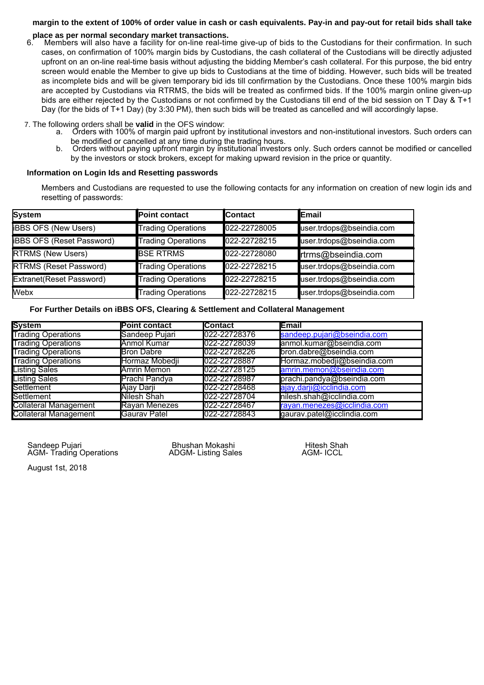## **margin to the extent of 100% of order value in cash or cash equivalents. Pay-in and pay-out for retail bids shall take**

## **place as per normal secondary market transactions.**<br>6. Members will also have a facility for on-line real-tin

Members will also have a facility for on-line real-time give-up of bids to the Custodians for their confirmation. In such cases, on confirmation of 100% margin bids by Custodians, the cash collateral of the Custodians will be directly adjusted upfront on an on-line real-time basis without adjusting the bidding Member's cash collateral. For this purpose, the bid entry screen would enable the Member to give up bids to Custodians at the time of bidding. However, such bids will be treated as incomplete bids and will be given temporary bid ids till confirmation by the Custodians. Once these 100% margin bids are accepted by Custodians via RTRMS, the bids will be treated as confirmed bids. If the 100% margin online given-up bids are either rejected by the Custodians or not confirmed by the Custodians till end of the bid session on T Day & T+1 Day (for the bids of T+1 Day) (by 3:30 PM), then such bids will be treated as cancelled and will accordingly lapse.

7. The following orders shall be **valid** in the OFS window:

- a. Orders with 100% of margin paid upfront by institutional investors and non-institutional investors. Such orders can be modified or cancelled at any time during the trading hours.
- b. Orders without paying upfront margin by institutional investors only. Such orders cannot be modified or cancelled by the investors or stock brokers, except for making upward revision in the price or quantity.

#### **Information on Login Ids and Resetting passwords**

Members and Custodians are requested to use the following contacts for any information on creation of new login ids and resetting of passwords:

| System                           | Point contact             | <b>Contact</b> | <b>IEmail</b>            |
|----------------------------------|---------------------------|----------------|--------------------------|
| <b>IBBS OFS (New Users)</b>      | Trading Operations        | 022-22728005   | user.trdops@bseindia.com |
| <b>iBBS OFS (Reset Password)</b> | <b>Trading Operations</b> | 022-22728215   | user.trdops@bseindia.com |
| <b>RTRMS (New Users)</b>         | <b>BSE RTRMS</b>          | 022-22728080   | rtrms@bseindia.com       |
| <b>RTRMS (Reset Password)</b>    | Trading Operations        | 022-22728215   | user.trdops@bseindia.com |
| Extranet(Reset Password)         | <b>Trading Operations</b> | 022-22728215   | user.trdops@bseindia.com |
| <b>Webx</b>                      | <b>Trading Operations</b> | 022-22728215   | user.trdops@bseindia.com |

**For Further Details on iBBS OFS, Clearing & Settlement and Collateral Management**

| <b>System</b>                | <b>Point contact</b> | <b>Contact</b> | <b>Email</b>                |
|------------------------------|----------------------|----------------|-----------------------------|
| <b>Trading Operations</b>    | Sandeep Pujari       | 022-22728376   | sandeep.pujari@bseindia.com |
| <b>Trading Operations</b>    | Anmol Kumar          | 022-22728039   | anmol.kumar@bseindia.com    |
| <b>Trading Operations</b>    | <b>Bron Dabre</b>    | 022-22728226   | bron.dabre@bseindia.com     |
| <b>Trading Operations</b>    | Hormaz Mobedji       | 022-22728887   | Hormaz.mobedji@bseindia.com |
| <b>Listing Sales</b>         | Amrin Memon          | 022-22728125   | amrin.memon@bseindia.com    |
| <b>Listing Sales</b>         | Prachi Pandya        | 022-22728987   | prachi.pandya@bseindia.com  |
| Settlement                   | Ajay Darji           | 022-22728468   | ajay.darji@icclindia.com    |
| Settlement                   | Nilesh Shah          | 022-22728704   | nilesh.shah@icclindia.com   |
| <b>Collateral Management</b> | <b>Rayan Menezes</b> | 022-22728467   | rayan.menezes@icclindia.com |
| <b>Collateral Management</b> | Gaurav Patel         | 022-22728843   | gaurav.patel@icclindia.com  |

 Sandeep Pujari Bhushan Mokashi Hitesh Shah AGM- Trading Operations

August 1st, 2018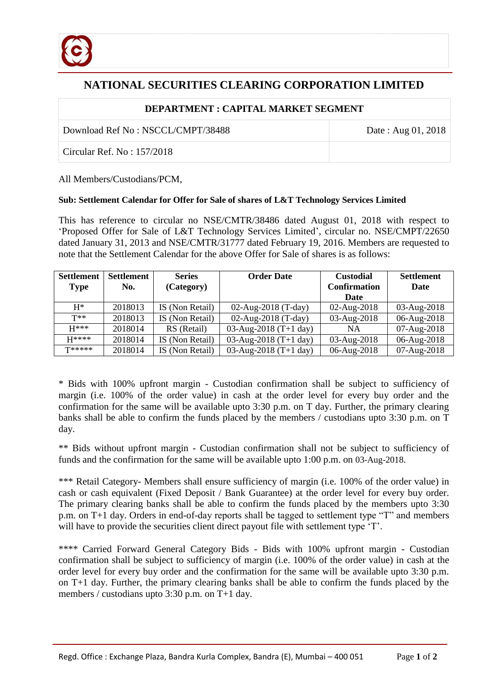

## **NATIONAL SECURITIES CLEARING CORPORATION LIMITED**

## **DEPARTMENT : CAPITAL MARKET SEGMENT**

Download Ref No : NSCCL/CMPT/38488 Date : Aug 01, 2018

Circular Ref. No : 157/2018

All Members/Custodians/PCM,

## **Sub: Settlement Calendar for Offer for Sale of shares of L&T Technology Services Limited**

This has reference to circular no NSE/CMTR/38486 dated August 01, 2018 with respect to 'Proposed Offer for Sale of L&T Technology Services Limited', circular no. NSE/CMPT/22650 dated January 31, 2013 and NSE/CMTR/31777 dated February 19, 2016. Members are requested to note that the Settlement Calendar for the above Offer for Sale of shares is as follows:

| <b>Settlement</b> | Settlement | <b>Series</b>   | <b>Order Date</b>     | <b>Custodial</b>    | <b>Settlement</b> |
|-------------------|------------|-----------------|-----------------------|---------------------|-------------------|
| <b>Type</b>       | No.        | (Category)      |                       | <b>Confirmation</b> | Date              |
|                   |            |                 |                       | <b>Date</b>         |                   |
| $H^*$             | 2018013    | IS (Non Retail) | 02-Aug-2018 (T-day)   | $02$ -Aug-2018      | 03-Aug-2018       |
| $T**$             | 2018013    | IS (Non Retail) | 02-Aug-2018 (T-day)   | 03-Aug-2018         | 06-Aug-2018       |
| $H***$            | 2018014    | RS (Retail)     | 03-Aug-2018 (T+1 day) | <b>NA</b>           | 07-Aug-2018       |
| $H****$           | 2018014    | IS (Non Retail) | 03-Aug-2018 (T+1 day) | 03-Aug-2018         | 06-Aug-2018       |
| $T*****$          | 2018014    | IS (Non Retail) | 03-Aug-2018 (T+1 day) | 06-Aug-2018         | 07-Aug-2018       |

\* Bids with 100% upfront margin - Custodian confirmation shall be subject to sufficiency of margin (i.e. 100% of the order value) in cash at the order level for every buy order and the confirmation for the same will be available upto 3:30 p.m. on T day. Further, the primary clearing banks shall be able to confirm the funds placed by the members / custodians upto 3:30 p.m. on T day.

\*\* Bids without upfront margin - Custodian confirmation shall not be subject to sufficiency of funds and the confirmation for the same will be available upto 1:00 p.m. on 03-Aug-2018.

\*\*\* Retail Category- Members shall ensure sufficiency of margin (i.e. 100% of the order value) in cash or cash equivalent (Fixed Deposit / Bank Guarantee) at the order level for every buy order. The primary clearing banks shall be able to confirm the funds placed by the members upto 3:30 p.m. on T+1 day. Orders in end-of-day reports shall be tagged to settlement type "T" and members will have to provide the securities client direct payout file with settlement type 'T'.

\*\*\*\* Carried Forward General Category Bids - Bids with 100% upfront margin - Custodian confirmation shall be subject to sufficiency of margin (i.e. 100% of the order value) in cash at the order level for every buy order and the confirmation for the same will be available upto 3:30 p.m. on T+1 day. Further, the primary clearing banks shall be able to confirm the funds placed by the members / custodians upto 3:30 p.m. on T+1 day.